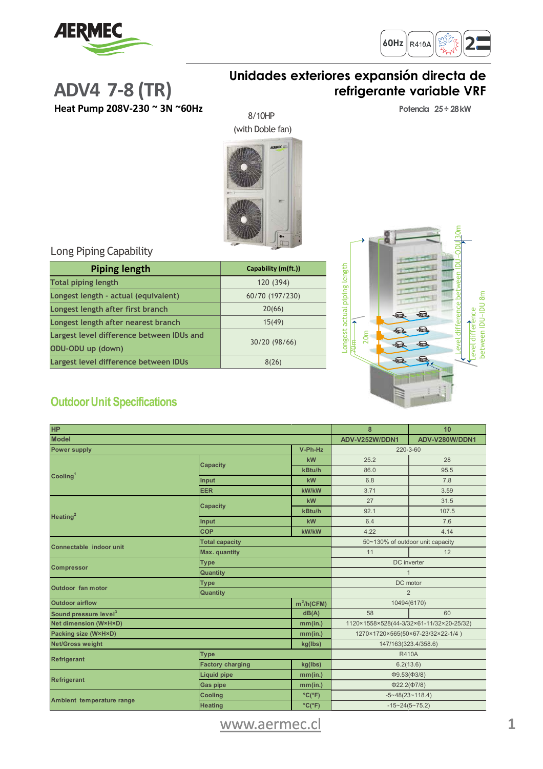



### **Unidades exteriores expansión directa de refrigerante variable VRF**

**Heat Pump 208V-230 ~ 3N ~60Hz**

**ADV4 7-8 (TR)**

#### **Potencia 25÷ 28kW**

(with Doble fan)

8/10HP

Level difference between IDU~ODU 30m Longest actual piping length Longest actual piping length Level difference<br>between IDU-IDU 8m between IDU~IDU 8m Level difference  $\bigoplus$  $\bigoplus$  $\bigoplus$  $\bigoplus$ 20m  $\bigoplus$ 9  $\bigoplus$  $\bigoplus$  $\mathbf{\Omega}$ 

#### Long Piping Capability

| <b>Piping length</b>                      | Capability (m(ft.)) |  |
|-------------------------------------------|---------------------|--|
| <b>Total piping length</b>                | 120 (394)           |  |
| Longest length - actual (equivalent)      | 60/70 (197/230)     |  |
| Longest length after first branch         | 20(66)              |  |
| Longest length after nearest branch       | 15(49)              |  |
| Largest level difference between IDUs and | 30/20 (98/66)       |  |
| ODU-ODU up (down)                         |                     |  |
| Largest level difference between IDUs     | 8(26)               |  |

## **OutdoorUnit Specifications**

| <b>HP</b>                               |                         |                      | 8                                        | 10             |
|-----------------------------------------|-------------------------|----------------------|------------------------------------------|----------------|
| <b>Model</b>                            |                         |                      | ADV-V252W/DDN1                           | ADV-V280W/DDN1 |
| V-Ph-Hz<br><b>Power supply</b>          |                         | 220-3-60             |                                          |                |
| Cooling <sup>1</sup>                    | <b>Capacity</b>         | kW                   | 25.2                                     | 28             |
|                                         |                         | kBtu/h               | 86.0                                     | 95.5           |
|                                         | Input                   | kW                   | 6.8                                      | 7.8            |
|                                         | <b>EER</b>              | kW/kW                | 3.71                                     | 3.59           |
| Heating $2$                             | <b>Capacity</b>         | kW                   | 27                                       | 31.5           |
|                                         |                         | kBtu/h               | 92.1                                     | 107.5          |
|                                         | Input                   | kW                   | 6.4                                      | 7.6            |
|                                         | <b>COP</b>              | kW/kW                | 4.22                                     | 4.14           |
| Connectable indoor unit                 | <b>Total capacity</b>   |                      | 50~130% of outdoor unit capacity         |                |
|                                         | <b>Max.</b> quantity    |                      | 11                                       | 12             |
| <b>Compressor</b>                       | <b>Type</b>             |                      | DC inverter                              |                |
|                                         | <b>Quantity</b>         |                      | $\overline{1}$                           |                |
| <b>Outdoor</b> fan motor                | <b>Type</b>             |                      | DC motor                                 |                |
|                                         | <b>Quantity</b>         |                      | $\overline{2}$                           |                |
| <b>Outdoor airflow</b><br>$m^3/h(CFM)$  |                         |                      | 10494(6170)                              |                |
| Sound pressure level <sup>3</sup>       |                         | dB(A)                | 58                                       | 60             |
| <b>Net dimension (W×H×D)</b><br>mm(in.) |                         |                      | 1120×1558×528(44-3/32×61-11/32×20-25/32) |                |
| Packing size (W×H×D)<br>mm(in.)         |                         |                      | 1270×1720×565(50×67-23/32×22-1/4)        |                |
| <b>Net/Gross weight</b><br>kg(lbs)      |                         | 147/163(323.4/358.6) |                                          |                |
| <b>Refrigerant</b>                      | <b>Type</b>             |                      | <b>R410A</b>                             |                |
|                                         | <b>Factory charging</b> | kg(lbs)              | 6.2(13.6)                                |                |
| <b>Refrigerant</b>                      | <b>Liquid pipe</b>      | mm(in.)              | $\Phi$ 9.53( $\Phi$ 3/8)                 |                |
|                                         | <b>Gas pipe</b>         | mm(in.)              | $\Phi$ 22.2( $\Phi$ 7/8)                 |                |
| Ambient temperature range               | <b>Cooling</b>          | $°C(^{\circ}F)$      | $-5 - 48(23 - 118.4)$                    |                |
|                                         | <b>Heating</b>          | $°C(^{\circ}F)$      | $-15 - 24(5 - 75.2)$                     |                |

# [www.aermec.cl](http://www.aermec.cl/) **1**